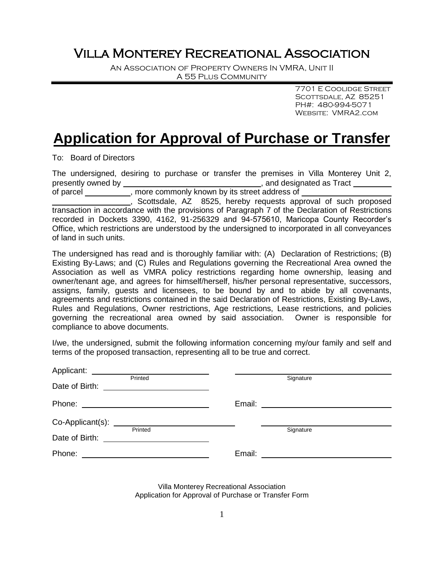## Villa Monterey Recreational Association

An Association of Property Owners In VMRA, Unit II A 55 Plus Community

> 7701 E Coolidge Street SCOTTSDALE, AZ 85251 PH#: 480-994-5071 Website: VMRA2.com

## **Application for Approval of Purchase or Transfer**

To: Board of Directors

The undersigned, desiring to purchase or transfer the premises in Villa Monterey Unit 2, presently owned by  $\qquad \qquad$ , and designated as Tract of parcel , more commonly known by its street address of , Scottsdale, AZ 8525, hereby requests approval of such proposed transaction in accordance with the provisions of Paragraph 7 of the Declaration of Restrictions recorded in Dockets 3390, 4162, 91-256329 and 94-575610, Maricopa County Recorder's Office, which restrictions are understood by the undersigned to incorporated in all conveyances of land in such units.

The undersigned has read and is thoroughly familiar with: (A) Declaration of Restrictions; (B) Existing By-Laws; and (C) Rules and Regulations governing the Recreational Area owned the Association as well as VMRA policy restrictions regarding home ownership, leasing and owner/tenant age, and agrees for himself/herself, his/her personal representative, successors, assigns, family, guests and licensees, to be bound by and to abide by all covenants, agreements and restrictions contained in the said Declaration of Restrictions, Existing By-Laws, Rules and Regulations, Owner restrictions, Age restrictions, Lease restrictions, and policies governing the recreational area owned by said association. Owner is responsible for compliance to above documents.

I/we, the undersigned, submit the following information concerning my/our family and self and terms of the proposed transaction, representing all to be true and correct.

| Applicant:<br><u> Alexandria de la contrada de la contrada de la contrada de la contrada de la contrada de la contrada de la c</u> |           |
|------------------------------------------------------------------------------------------------------------------------------------|-----------|
| Printed<br>Date of Birth:                                                                                                          | Signature |
|                                                                                                                                    |           |
| Co-Applicant(s):<br>Printed                                                                                                        | Signature |
| Date of Birth:<br><u> 1980 - Jan Samuel Barbara, martin a</u>                                                                      |           |
| Phone:                                                                                                                             | Email:    |

Villa Monterey Recreational Association Application for Approval of Purchase or Transfer Form